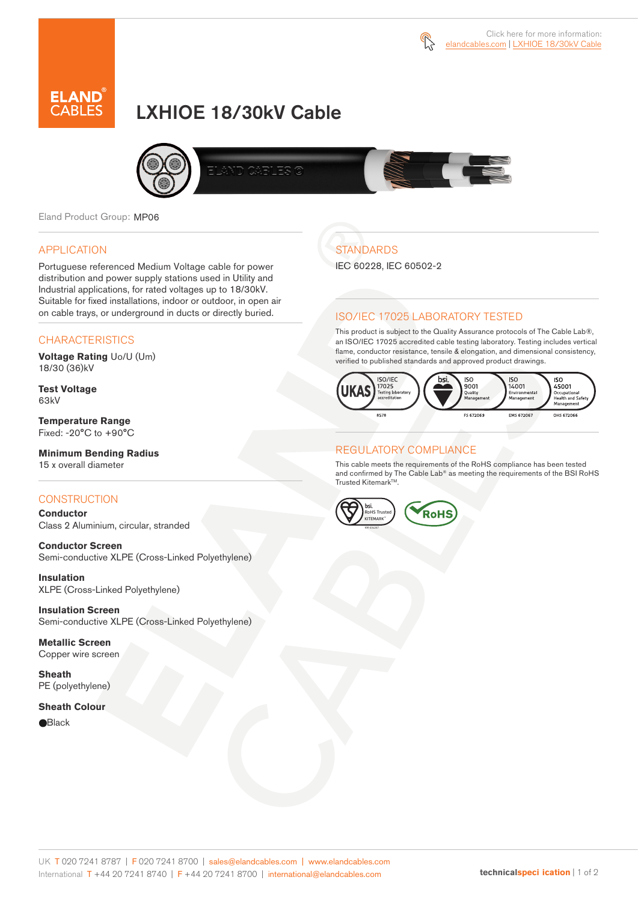



# LXHIOE 18/30kV Cable



Eland Product Group: MP06

### APPLICATION

Portuguese referenced Medium Voltage cable for power distribution and power supply stations used in Utility and Industrial applications, for rated voltages up to 18/30kV. Suitable for fixed installations, indoor or outdoor, in open air on cable trays, or underground in ducts or directly buried.

### **CHARACTERISTICS**

**Voltage Rating** Uo/U (Um) 18/30 (36)kV

**Test Voltage** 63kV

**Temperature Range** Fixed: -20°C to +90°C

**Minimum Bending Radius** 15 x overall diameter

### **CONSTRUCTION**

**Conductor**  Class 2 Aluminium, circular, stranded

**Conductor Screen** Semi-conductive XLPE (Cross-Linked Polyethylene)

**Insulation** XLPE (Cross-Linked Polyethylene)

**Insulation Screen** Semi-conductive XLPE (Cross-Linked Polyethylene)

**Metallic Screen**  Copper wire screen

**Sheath** PE (polyethylene)

### **Sheath Colour**

**Black** 

# **STANDARDS**

IEC 60228, IEC 60502-2

### ISO/IEC 17025 LABORATORY TESTED

This product is subject to the Quality Assurance protocols of The Cable Lab®, an ISO/IEC 17025 accredited cable testing laboratory. Testing includes vertical flame, conductor resistance, tensile & elongation, and dimensional consistency, verified to published standards and approved product drawings.



#### REGULATORY COMPLIANCE

This cable meets the requirements of the RoHS compliance has been tested and confirmed by The Cable Lab® as meeting the requirements of the BSI RoHS Trusted Kitemark™.